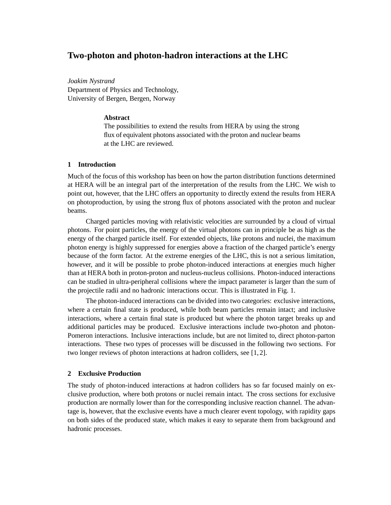# **Two-photon and photon-hadron interactions at the LHC**

*Joakim Nystrand* Department of Physics and Technology, University of Bergen, Bergen, Norway

# **Abstract**

The possibilities to extend the results from HERA by using the strong flux of equivalent photons associated with the proton and nuclear beams at the LHC are reviewed.

# **1 Introduction**

Much of the focus of this workshop has been on how the parton distribution functions determined at HERA will be an integral part of the interpretation of the results from the LHC. We wish to point out, however, that the LHC offers an opportunity to directly extend the results from HERA on photoproduction, by using the strong flux of photons associated with the proton and nuclear beams.

Charged particles moving with relativistic velocities are surrounded by a cloud of virtual photons. For point particles, the energy of the virtual photons can in principle be as high as the energy of the charged particle itself. For extended objects, like protons and nuclei, the maximum photon energy is highly suppressed for energies above a fraction of the charged particle's energy because of the form factor. At the extreme energies of the LHC, this is not a serious limitation, however, and it will be possible to probe photon-induced interactions at energies much higher than at HERA both in proton-proton and nucleus-nucleus collisions. Photon-induced interactions can be studied in ultra-peripheral collisions where the impact parameter is larger than the sum of the projectile radii and no hadronic interactions occur. This is illustrated in Fig. 1.

The photon-induced interactions can be divided into two categories: exclusive interactions, where a certain final state is produced, while both beam particles remain intact; and inclusive interactions, where a certain final state is produced but where the photon target breaks up and additional particles may be produced. Exclusive interactions include two-photon and photon-Pomeron interactions. Inclusive interactions include, but are not limited to, direct photon-parton interactions. These two types of processes will be discussed in the following two sections. For two longer reviews of photon interactions at hadron colliders, see [1, 2].

#### **2 Exclusive Production**

The study of photon-induced interactions at hadron colliders has so far focused mainly on exclusive production, where both protons or nuclei remain intact. The cross sections for exclusive production are normally lower than for the corresponding inclusive reaction channel. The advantage is, however, that the exclusive events have a much clearer event topology, with rapidity gaps on both sides of the produced state, which makes it easy to separate them from background and hadronic processes.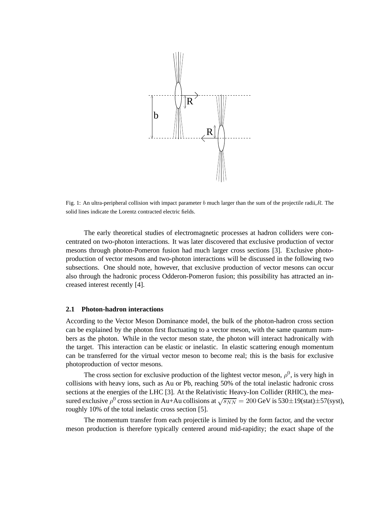

Fig. 1: An ultra-peripheral collision with impact parameter b much larger than the sum of the projectile radii, R. The solid lines indicate the Lorentz contracted electric fields.

The early theoretical studies of electromagnetic processes at hadron colliders were concentrated on two-photon interactions. It was later discovered that exclusive production of vector mesons through photon-Pomeron fusion had much larger cross sections [3]. Exclusive photoproduction of vector mesons and two-photon interactions will be discussed in the following two subsections. One should note, however, that exclusive production of vector mesons can occur also through the hadronic process Odderon-Pomeron fusion; this possibility has attracted an increased interest recently [4].

#### **2.1 Photon-hadron interactions**

According to the Vector Meson Dominance model, the bulk of the photon-hadron cross section can be explained by the photon first fluctuating to a vector meson, with the same quantum numbers as the photon. While in the vector meson state, the photon will interact hadronically with the target. This interaction can be elastic or inelastic. In elastic scattering enough momentum can be transferred for the virtual vector meson to become real; this is the basis for exclusive photoproduction of vector mesons.

The cross section for exclusive production of the lightest vector meson,  $\rho^0$ , is very high in collisions with heavy ions, such as Au or Pb, reaching 50% of the total inelastic hadronic cross sections at the energies of the LHC [3]. At the Relativistic Heavy-Ion Collider (RHIC), the measured exclusive  $\rho^0$  cross section in Au+Au collisions at  $\sqrt{s_{NN}} = 200$  GeV is 530±19(stat)±57(syst), roughly 10% of the total inelastic cross section [5].

The momentum transfer from each projectile is limited by the form factor, and the vector meson production is therefore typically centered around mid-rapidity; the exact shape of the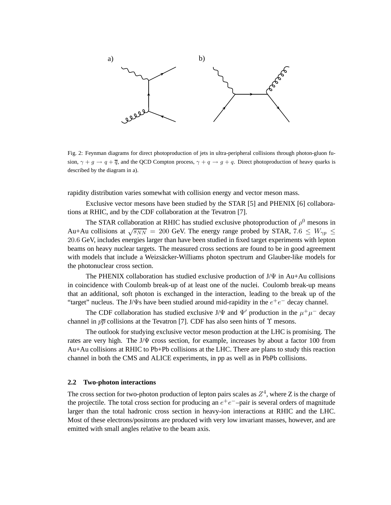

Fig. 2: Feynman diagrams for direct photoproduction of jets in ultra-peripheral collisions through photon-gluon fusion,  $\gamma + g \rightarrow q + \overline{q}$ , and the QCD Compton process,  $\gamma + q \rightarrow g + q$ . Direct photoproduction of heavy quarks is described by the diagram in a).

rapidity distribution varies somewhat with collision energy and vector meson mass.

Exclusive vector mesons have been studied by the STAR [5] and PHENIX [6] collaborations at RHIC, and by the CDF collaboration at the Tevatron [7].

The STAR collaboration at RHIC has studied exclusive photoproduction of  $\rho^0$  mesons in Au+Au collisions at  $\sqrt{s_{NN}}$  = 200 GeV. The energy range probed by STAR, 7.6  $\leq W_{\gamma p} \leq$ 20.6 GeV, includes energies larger than have been studied in fixed target experiments with lepton beams on heavy nuclear targets. The measured cross sections are found to be in good agreement with models that include a Weizsäcker-Williams photon spectrum and Glauber-like models for the photonuclear cross section.

The PHENIX collaboration has studied exclusive production of  $J/\Psi$  in Au+Au collisions in coincidence with Coulomb break-up of at least one of the nuclei. Coulomb break-up means that an additional, soft photon is exchanged in the interaction, leading to the break up of the "target" nucleus. The J/ $\Psi$ s have been studied around mid-rapidity in the  $e^+e^-$  decay channel.

The CDF collaboration has studied exclusive J/ $\Psi$  and  $\Psi'$  production in the  $\mu^+\mu^-$  decay channel in  $p\bar{p}$  collisions at the Tevatron [7]. CDF has also seen hints of  $\Upsilon$  mesons.

The outlook for studying exclusive vector meson production at the LHC is promising. The rates are very high. The  $J/\Psi$  cross section, for example, increases by about a factor 100 from Au+Au collisions at RHIC to Pb+Pb collisions at the LHC. There are plans to study this reaction channel in both the CMS and ALICE experiments, in pp as well as in PbPb collisions.

### **2.2 Two-photon interactions**

The cross section for two-photon production of lepton pairs scales as  $Z^4$ , where Z is the charge of the projectile. The total cross section for producing an  $e^+e^-$ -pair is several orders of magnitude larger than the total hadronic cross section in heavy-ion interactions at RHIC and the LHC. Most of these electrons/positrons are produced with very low invariant masses, however, and are emitted with small angles relative to the beam axis.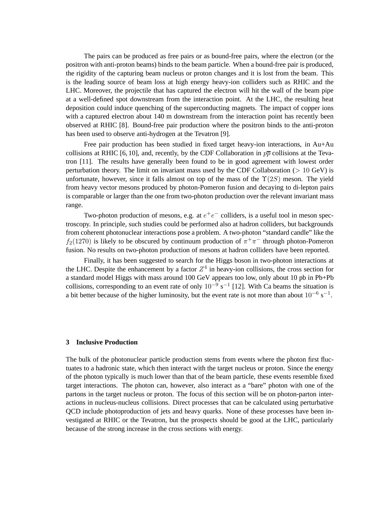The pairs can be produced as free pairs or as bound-free pairs, where the electron (or the positron with anti-proton beams) binds to the beam particle. When a bound-free pair is produced, the rigidity of the capturing beam nucleus or proton changes and it is lost from the beam. This is the leading source of beam loss at high energy heavy-ion colliders such as RHIC and the LHC. Moreover, the projectile that has captured the electron will hit the wall of the beam pipe at a well-defined spot downstream from the interaction point. At the LHC, the resulting heat deposition could induce quenching of the superconducting magnets. The impact of copper ions with a captured electron about 140 m downstream from the interaction point has recently been observed at RHIC [8]. Bound-free pair production where the positron binds to the anti-proton has been used to observe anti-hydrogen at the Tevatron [9].

Free pair production has been studied in fixed target heavy-ion interactions, in Au+Au collisions at RHIC [6, 10], and, recently, by the CDF Collaboration in  $p\overline{p}$  collisions at the Tevatron [11]. The results have generally been found to be in good agreement with lowest order perturbation theory. The limit on invariant mass used by the CDF Collaboration ( $> 10 \text{ GeV}$ ) is unfortunate, however, since it falls almost on top of the mass of the  $\Upsilon(2S)$  meson. The yield from heavy vector mesons produced by photon-Pomeron fusion and decaying to di-lepton pairs is comparable or larger than the one from two-photon production over the relevant invariant mass range.

Two-photon production of mesons, e.g. at  $e^+e^-$  colliders, is a useful tool in meson spectroscopy. In principle, such studies could be performed also at hadron colliders, but backgrounds from coherent photonuclear interactions pose a problem. A two-photon "standard candle" like the  $f_2(1270)$  is likely to be obscured by continuum production of  $\pi^+\pi^-$  through photon-Pomeron fusion. No results on two-photon production of mesons at hadron colliders have been reported.

Finally, it has been suggested to search for the Higgs boson in two-photon interactions at the LHC. Despite the enhancement by a factor  $Z^4$  in heavy-ion collisions, the cross section for a standard model Higgs with mass around 100 GeV appears too low, only about 10 pb in Pb+Pb collisions, corresponding to an event rate of only  $10^{-9}$  s<sup>-1</sup> [12]. With Ca beams the situation is a bit better because of the higher luminosity, but the event rate is not more than about  $10^{-6}$  s<sup>-1</sup>.

### **3 Inclusive Production**

The bulk of the photonuclear particle production stems from events where the photon first fluctuates to a hadronic state, which then interact with the target nucleus or proton. Since the energy of the photon typically is much lower than that of the beam particle, these events resemble fixed target interactions. The photon can, however, also interact as a "bare" photon with one of the partons in the target nucleus or proton. The focus of this section will be on photon-parton interactions in nucleus-nucleus collisions. Direct processes that can be calculated using perturbative QCD include photoproduction of jets and heavy quarks. None of these processes have been investigated at RHIC or the Tevatron, but the prospects should be good at the LHC, particularly because of the strong increase in the cross sections with energy.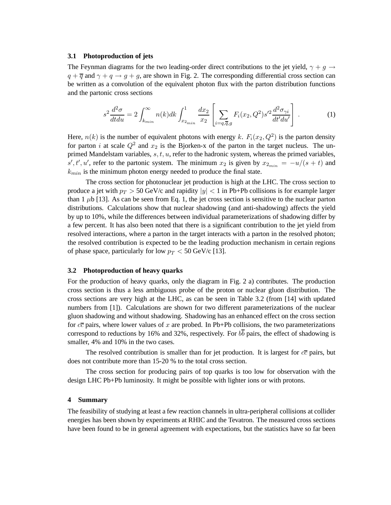# **3.1 Photoproduction of jets**

The Feynman diagrams for the two leading-order direct contributions to the jet yield,  $\gamma + q \rightarrow$  $q + \overline{q}$  and  $\gamma + q \rightarrow g + g$ , are shown in Fig. 2. The corresponding differential cross section can be written as a convolution of the equivalent photon flux with the parton distribution functions and the partonic cross sections

$$
s^{2} \frac{d^{2} \sigma}{dt du} = 2 \int_{k_{min}}^{\infty} n(k) dk \int_{x_{2_{min}}}^{1} \frac{dx_{2}}{x_{2}} \left[ \sum_{i=q,\overline{q},g} F_{i}(x_{2},Q^{2}) s'^{2} \frac{d^{2} \sigma_{\gamma i}}{dt'du'} \right].
$$
 (1)

Here,  $n(k)$  is the number of equivalent photons with energy k.  $F_i(x_2, Q^2)$  is the parton density for parton i at scale  $Q^2$  and  $x_2$  is the Bjorken-x of the parton in the target nucleus. The unprimed Mandelstam variables,  $s, t, u$ , refer to the hadronic system, whereas the primed variables,  $s', t', u'$ , refer to the partonic system. The minimum  $x_2$  is given by  $x_{2_{min}} = -u/(s+t)$  and  $k_{min}$  is the minimum photon energy needed to produce the final state.

The cross section for photonuclear jet production is high at the LHC. The cross section to produce a jet with  $p_T > 50$  GeV/c and rapidity  $|y| < 1$  in Pb+Pb collisions is for example larger than 1  $\mu$ b [13]. As can be seen from Eq. 1, the jet cross section is sensitive to the nuclear parton distributions. Calculations show that nuclear shadowing (and anti-shadowing) affects the yield by up to 10%, while the differences between individual parameterizations of shadowing differ by a few percent. It has also been noted that there is a significant contribution to the jet yield from resolved interactions, where a parton in the target interacts with a parton in the resolved photon; the resolved contribution is expected to be the leading production mechanism in certain regions of phase space, particularly for low  $p_T < 50$  GeV/c [13].

#### **3.2 Photoproduction of heavy quarks**

For the production of heavy quarks, only the diagram in Fig. 2 a) contributes. The production cross section is thus a less ambiguous probe of the proton or nuclear gluon distribution. The cross sections are very high at the LHC, as can be seen in Table 3.2 (from [14] with updated numbers from [1]). Calculations are shown for two different parameterizations of the nuclear gluon shadowing and without shadowing. Shadowing has an enhanced effect on the cross section for  $c\bar{c}$  pairs, where lower values of x are probed. In Pb+Pb collisions, the two parameterizations correspond to reductions by 16% and 32%, respectively. For  $b\overline{b}$  pairs, the effect of shadowing is smaller, 4% and 10% in the two cases.

The resolved contribution is smaller than for jet production. It is largest for  $c\bar{c}$  pairs, but does not contribute more than 15-20 % to the total cross section.

The cross section for producing pairs of top quarks is too low for observation with the design LHC Pb+Pb luminosity. It might be possible with lighter ions or with protons.

#### **4 Summary**

The feasibility of studying at least a few reaction channels in ultra-peripheral collisions at collider energies has been shown by experiments at RHIC and the Tevatron. The measured cross sections have been found to be in general agreement with expectations, but the statistics have so far been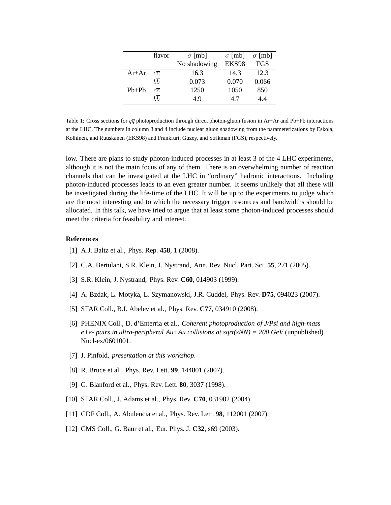|         | flavor          | $\sigma$ [mb] | $\sigma$ [mb] | $\sigma$ [mb] |
|---------|-----------------|---------------|---------------|---------------|
|         |                 | No shadowing  | EKS98         | FGS           |
| $Ar+Ar$ | $c\overline{c}$ | 16.3          | 14.3          | 12.3          |
|         | bb              | 0.073         | 0.070         | 0.066         |
| $Pb+Pb$ | $c\overline{c}$ | 1250          | 1050          | 850           |
|         | hh              | 49            | 47            | 44            |

Table 1: Cross sections for  $q\bar{q}$  photoproduction through direct photon-gluon fusion in Ar+Ar and Pb+Pb interactions at the LHC. The numbers in column 3 and 4 include nuclear gluon shadowing from the parameterizations by Eskola, Kolhinen, and Ruuskanen (EKS98) and Frankfurt, Guzey, and Strikman (FGS), respectively.

low. There are plans to study photon-induced processes in at least 3 of the 4 LHC experiments, although it is not the main focus of any of them. There is an overwhelming number of reaction channels that can be investigated at the LHC in "ordinary" hadronic interactions. Including photon-induced processes leads to an even greater number. It seems unlikely that all these will be investigated during the life-time of the LHC. It will be up to the experiments to judge which are the most interesting and to which the necessary trigger resources and bandwidths should be allocated. In this talk, we have tried to argue that at least some photon-induced processes should meet the criteria for feasibility and interest.

### **References**

- [1] A.J. Baltz et al., Phys. Rep. **458**, 1 (2008).
- [2] C.A. Bertulani, S.R. Klein, J. Nystrand, Ann. Rev. Nucl. Part. Sci. **55**, 271 (2005).
- [3] S.R. Klein, J. Nystrand, Phys. Rev. **C60**, 014903 (1999).
- [4] A. Bzdak, L. Motyka, L. Szymanowski, J.R. Cuddel, Phys. Rev. **D75**, 094023 (2007).
- [5] STAR Coll., B.I. Abelev et al., Phys. Rev. **C77**, 034910 (2008).
- [6] PHENIX Coll., D. d'Enterria et al., *Coherent photoproduction of J/Psi and high-mass e+e- pairs in ultra-peripheral Au+Au collisions at sqrt(sNN) = 200 GeV* (unpublished). Nucl-ex/0601001.
- [7] J. Pinfold, *presentation at this workshop*.
- [8] R. Bruce et al., Phys. Rev. Lett. **99**, 144801 (2007).
- [9] G. Blanford et al., Phys. Rev. Lett. **80**, 3037 (1998).
- [10] STAR Coll., J. Adams et al., Phys. Rev. **C70**, 031902 (2004).
- [11] CDF Coll., A. Abulencia et al., Phys. Rev. Lett. **98**, 112001 (2007).
- [12] CMS Coll., G. Baur et al., Eur. Phys. J. **C32**, s69 (2003).